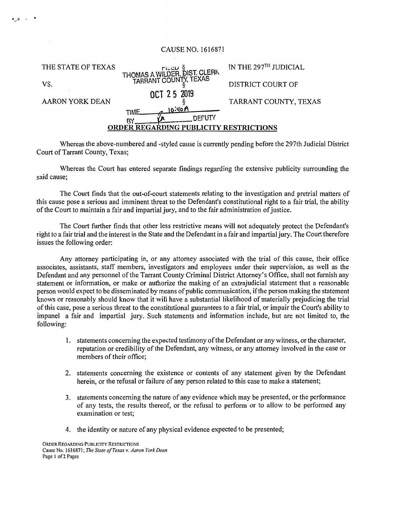## CAUSE NO. 1616871

| THE STATE OF TEXAS                     | FILED §<br>THOMAS A WILDER, DIST, CLERK<br>TARRANT COUNTY, TEXAS | IN THE 297TH JUDICIAL |
|----------------------------------------|------------------------------------------------------------------|-----------------------|
| VS.                                    |                                                                  | DISTRICT COURT OF     |
| <b>AARON YORK DEAN</b>                 | OCT 25 2019                                                      | TARRANT COUNTY, TEXAS |
|                                        | 10.40 A<br>TIME                                                  |                       |
|                                        | R٧                                                               |                       |
| ORDER REGARDING PUBLICITY RESTRICTIONS |                                                                  |                       |
|                                        |                                                                  |                       |

Whereas the above-numbered and -styled cause is currently pending before the 297th Judicial District Court of Tarrant County, Texas;

Whereas the Court has entered separate findings regarding the extensive publicity surrounding the said cause;

The Court finds that the out-of-court statements relating to the investigation and pretrial matters of this cause pose a serious and imminent threat to the Defendant's constitutional right to a fair trial, the ability of the Court to maintain a fair and impartial jury, and to the fair administration of justice.

The Court further finds that other less restrictive means will not adequately protect the Defendant's right to a fair trial and the interest in the State and the Defendant in a fair and impartial jury. The Court therefore issues the following order:

Any attorney participating in, or any attorney associated with the trial of this cause, their office associates, assistants, staff members, investigators and employees under their supervision, as well as the Defendant and any personnel of the Tarrant County Criminal District Attorney's Office, shall not furnish any statement or information, or make or authorize the making of an extrajudicial statement that a reasonable person would expect to be disseminated by means of public communication, if the person making the statement knows or reasonably should know that it will have a substantial likelihood of materially prejudicing the trial of this case, pose a serious threat to the constitutional guarantees to a fair trial, or impair the Court's ability to impanel a fair and impartial jury. Such statements and information include, but are not limited to, the following:

- 1. statements concerning the expected testimony of the Defendant or any witness, or the character, reputation or credibility of the Defendant, any witness, or any attorney involved in the case or members of their office;
- 2. statements concerning the existence or contents of any statement given by the Defendant herein, or the refusal or failure of any person related to this case to make a statement;
- 3. statements concerning the nature of any evidence which may be presented, or the performance of any tests, the results thereof, or the refusal to perform or to allow to be performed any examination or test;
- 4. the identity or nature of any physical evidence expected to be presented;

 $\sigma_{\mu\nu}$  and  $\sigma_{\nu}$